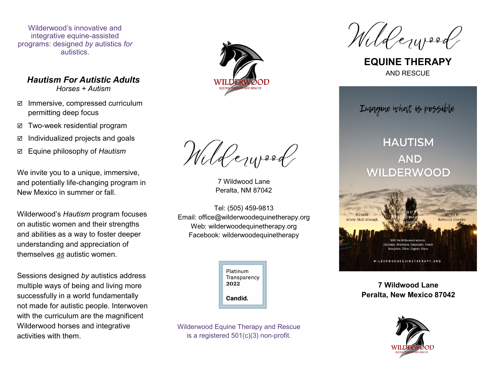Wilderwood's innovative and integrative equine-assisted programs: designed *by* autistics *for* autistics.

*Hautism For Autistic Adults Horses + Autism*

- Immersive, compressed curriculum permitting deep focus
- Two-week residential program
- $\boxtimes$  Individualized projects and goals
- Equine philosophy of *Hautism*

We invite you to a unique, immersive, and potentially life-changing program in New Mexico in summer or fall.

Wilderwood's *Hautism* program focuses on autistic women and their strengths and abilities as a way to foster deeper understanding and appreciation of themselves *as* autistic women.

Sessions designed *by* autistics address multiple ways of being and living more successfully in a world fundamentally not made for autistic people. Interwoven with the curriculum are the magnificent Wilderwood horses and integrative activities with them.



Wilderwood

7 Wildwood Lane Peralta, NM 87042

Tel: (505) 459-9813 Email: office@wilderwoodequinetherapy.org Web: wilderwoodequinetherapy.org Facebook: wilderwoodequinetherapy



Wilderwood Equine Therapy and Rescue is a registered 501(c)(3) non-profit.

Wilderypood

**EQUINE THERAPY** AND RESCUE

Imagine what is possible **HAUTISM AND WILDERWOOD** FEATURING **Misty McCollough** Rebecca Evanko WILDERWOODEQUINETHERAPY.ORG

## **7 Wildwood Lane Peralta, New Mexico 87042**